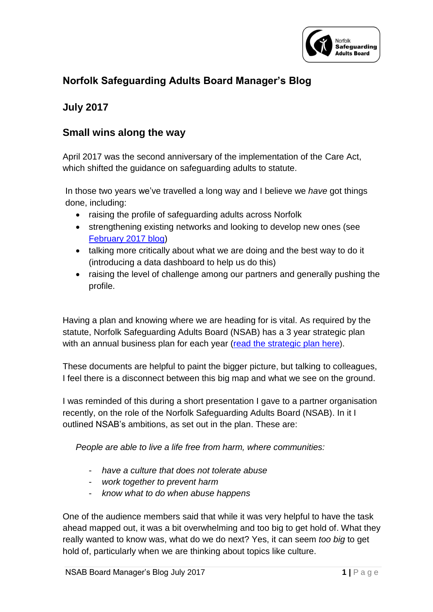

## **Norfolk Safeguarding Adults Board Manager's Blog**

## **July 2017**

## **Small wins along the way**

April 2017 was the second anniversary of the implementation of the Care Act, which shifted the guidance on safeguarding adults to statute.

In those two years we've travelled a long way and I believe we *have* got things done, including:

- raising the profile of safeguarding adults across Norfolk
- strengthening existing networks and looking to develop new ones (see [February 2017 blog\)](https://www.norfolksafeguardingadultsboard.info/board/safeguarding-board-managers-blog/)
- talking more critically about what we are doing and the best way to do it (introducing a data dashboard to help us do this)
- raising the level of challenge among our partners and generally pushing the profile.

Having a plan and knowing where we are heading for is vital. As required by the statute, Norfolk Safeguarding Adults Board (NSAB) has a 3 year strategic plan with an annual business plan for each year [\(read the strategic plan here](https://www.norfolksafeguardingadultsboard.info/board/nsab-plans/nsab-strategic-plans/)).

These documents are helpful to paint the bigger picture, but talking to colleagues, I feel there is a disconnect between this big map and what we see on the ground.

I was reminded of this during a short presentation I gave to a partner organisation recently, on the role of the Norfolk Safeguarding Adults Board (NSAB). In it I outlined NSAB's ambitions, as set out in the plan. These are:

*People are able to live a life free from harm, where communities:*

- *have a culture that does not tolerate abuse*
- *work together to prevent harm*
- *know what to do when abuse happens*

One of the audience members said that while it was very helpful to have the task ahead mapped out, it was a bit overwhelming and too big to get hold of. What they really wanted to know was, what do we do next? Yes, it can seem *too big* to get hold of, particularly when we are thinking about topics like culture.